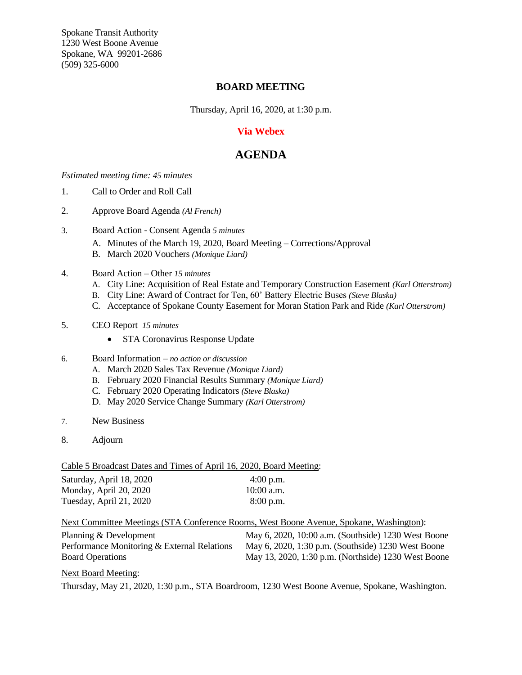Spokane Transit Authority 1230 West Boone Avenue Spokane, WA 99201-2686 (509) 325-6000

## **BOARD MEETING**

Thursday, April 16, 2020, at 1:30 p.m.

## **Via Webex**

## **AGENDA**

*Estimated meeting time: 45 minutes*

- 1. Call to Order and Roll Call
- 2. Approve Board Agenda *(Al French)*
- 3. Board Action Consent Agenda *5 minutes*
	- A. Minutes of the March 19, 2020, Board Meeting Corrections/Approval
	- B. March 2020 Vouchers *(Monique Liard)*
- 4. Board Action Other *15 minutes*
	- A. City Line: Acquisition of Real Estate and Temporary Construction Easement *(Karl Otterstrom)*
	- B. City Line: Award of Contract for Ten, 60' Battery Electric Buses *(Steve Blaska)*
	- C. Acceptance of Spokane County Easement for Moran Station Park and Ride *(Karl Otterstrom)*
- 5. CEO Report *15 minutes*
	- STA Coronavirus Response Update
- 6. Board Information *– no action or discussion*
	- A. March 2020 Sales Tax Revenue *(Monique Liard)*
	- B. February 2020 Financial Results Summary *(Monique Liard)*
	- C. February 2020 Operating Indicators *(Steve Blaska)*
	- D. May 2020 Service Change Summary *(Karl Otterstrom)*
- 7. New Business
- 8. Adjourn

Cable 5 Broadcast Dates and Times of April 16, 2020, Board Meeting:

| Saturday, April 18, 2020 | $4:00$ p.m.  |
|--------------------------|--------------|
| Monday, April 20, 2020   | $10:00$ a.m. |
| Tuesday, April 21, 2020  | $8:00$ p.m.  |

Next Committee Meetings (STA Conference Rooms, West Boone Avenue, Spokane, Washington):

| Planning & Development                      | May 6, 2020, 10:00 a.m. (Southside) 1230 West Boone |
|---------------------------------------------|-----------------------------------------------------|
| Performance Monitoring & External Relations | May 6, 2020, 1:30 p.m. (Southside) 1230 West Boone  |
| <b>Board Operations</b>                     | May 13, 2020, 1:30 p.m. (Northside) 1230 West Boone |

## Next Board Meeting:

Thursday, May 21, 2020, 1:30 p.m., STA Boardroom, 1230 West Boone Avenue, Spokane, Washington.